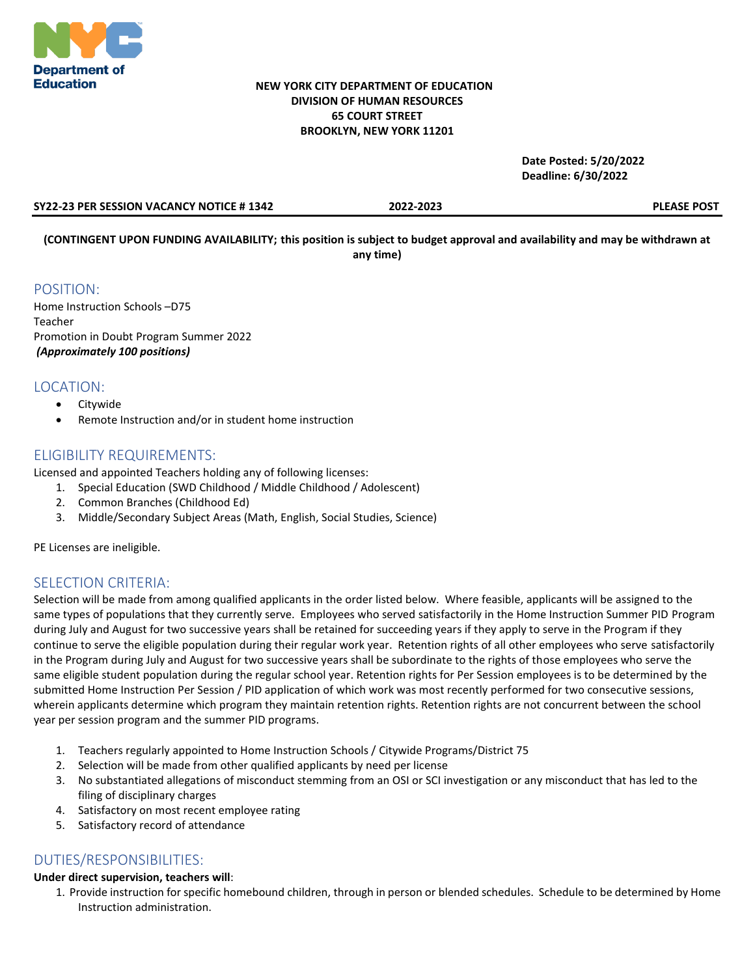

#### **NEW YORK CITY DEPARTMENT OF EDUCATION DIVISION OF HUMAN RESOURCES 65 COURT STREET BROOKLYN, NEW YORK 11201**

**Date Posted: 5/20/2022 Deadline: 6/30/2022**

#### **SY22-23 PER SESSION VACANCY NOTICE # 1342 2022-2023 PLEASE POST**

**(CONTINGENT UPON FUNDING AVAILABILITY; this position is subject to budget approval and availability and may be withdrawn at** 

**any time)**

#### POSITION:

Home Instruction Schools –D75 Teacher Promotion in Doubt Program Summer 2022 *(Approximately 100 positions)*

#### LOCATION:

- Citywide
- Remote Instruction and/or in student home instruction

#### ELIGIBILITY REQUIREMENTS:

Licensed and appointed Teachers holding any of following licenses:

- 1. Special Education (SWD Childhood / Middle Childhood / Adolescent)
- 2. Common Branches (Childhood Ed)
- 3. Middle/Secondary Subject Areas (Math, English, Social Studies, Science)

PE Licenses are ineligible.

## SELECTION CRITERIA:

Selection will be made from among qualified applicants in the order listed below. Where feasible, applicants will be assigned to the same types of populations that they currently serve. Employees who served satisfactorily in the Home Instruction Summer PID Program during July and August for two successive years shall be retained for succeeding years if they apply to serve in the Program if they continue to serve the eligible population during their regular work year. Retention rights of all other employees who serve satisfactorily in the Program during July and August for two successive years shall be subordinate to the rights of those employees who serve the same eligible student population during the regular school year. Retention rights for Per Session employees is to be determined by the submitted Home Instruction Per Session / PID application of which work was most recently performed for two consecutive sessions, wherein applicants determine which program they maintain retention rights. Retention rights are not concurrent between the school year per session program and the summer PID programs.

- 1. Teachers regularly appointed to Home Instruction Schools / Citywide Programs/District 75
- 2. Selection will be made from other qualified applicants by need per license
- 3. No substantiated allegations of misconduct stemming from an OSI or SCI investigation or any misconduct that has led to the filing of disciplinary charges
- 4. Satisfactory on most recent employee rating
- 5. Satisfactory record of attendance

## DUTIES/RESPONSIBILITIES:

#### **Under direct supervision, teachers will**:

1. Provide instruction for specific homebound children, through in person or blended schedules. Schedule to be determined by Home Instruction administration.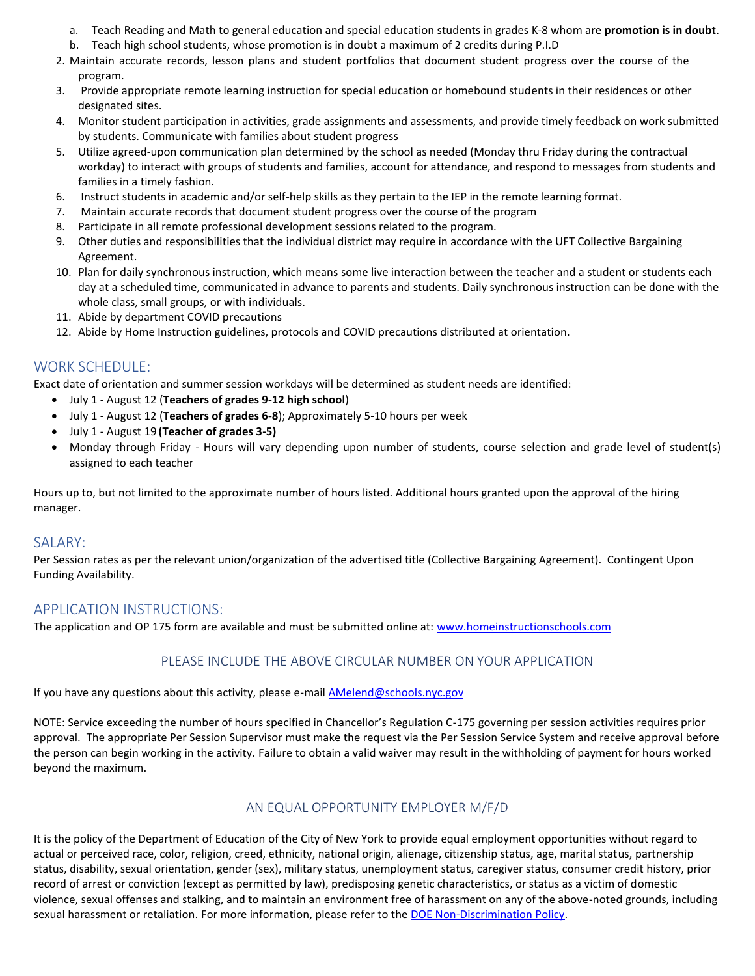- a. Teach Reading and Math to general education and special education students in grades K-8 whom are **promotion is in doubt**.
- b. Teach high school students, whose promotion is in doubt a maximum of 2 credits during P.I.D
- 2. Maintain accurate records, lesson plans and student portfolios that document student progress over the course of the program.
- 3. Provide appropriate remote learning instruction for special education or homebound students in their residences or other designated sites.
- 4. Monitor student participation in activities, grade assignments and assessments, and provide timely feedback on work submitted by students. Communicate with families about student progress
- 5. Utilize agreed-upon communication plan determined by the school as needed (Monday thru Friday during the contractual workday) to interact with groups of students and families, account for attendance, and respond to messages from students and families in a timely fashion.
- 6. Instruct students in academic and/or self-help skills as they pertain to the IEP in the remote learning format.
- 7. Maintain accurate records that document student progress over the course of the program
- 8. Participate in all remote professional development sessions related to the program.
- 9. Other duties and responsibilities that the individual district may require in accordance with the UFT Collective Bargaining Agreement.
- 10. Plan for daily synchronous instruction, which means some live interaction between the teacher and a student or students each day at a scheduled time, communicated in advance to parents and students. Daily synchronous instruction can be done with the whole class, small groups, or with individuals.
- 11. Abide by department COVID precautions
- 12. Abide by Home Instruction guidelines, protocols and COVID precautions distributed at orientation.

## WORK SCHEDULE:

Exact date of orientation and summer session workdays will be determined as student needs are identified:

- July 1 August 12 (**Teachers of grades 9-12 high school**)
- July 1 August 12 (**Teachers of grades 6-8**); Approximately 5-10 hours per week
- July 1 August 19 **(Teacher of grades 3-5)**
- Monday through Friday Hours will vary depending upon number of students, course selection and grade level of student(s) assigned to each teacher

Hours up to, but not limited to the approximate number of hours listed. Additional hours granted upon the approval of the hiring manager.

#### SALARY:

Per Session rates as per the relevant union/organization of the advertised title (Collective Bargaining Agreement). Contingent Upon Funding Availability.

## APPLICATION INSTRUCTIONS:

The application and OP 175 form are available and must be submitted online at: [www.homeinstructionschools.com](http://www.homeinstructionschools.com/)

# PLEASE INCLUDE THE ABOVE CIRCULAR NUMBER ON YOUR APPLICATION

If you have any questions about this activity, please e-mai[l AMelend@schools.nyc.gov](mailto:AMelend@schools.nyc.gov)

NOTE: Service exceeding the number of hours specified in Chancellor's Regulation C-175 governing per session activities requires prior approval. The appropriate Per Session Supervisor must make the request via the Per Session Service System and receive approval before the person can begin working in the activity. Failure to obtain a valid waiver may result in the withholding of payment for hours worked beyond the maximum.

## AN EQUAL OPPORTUNITY EMPLOYER M/F/D

It is the policy of the Department of Education of the City of New York to provide equal employment opportunities without regard to actual or perceived race, color, religion, creed, ethnicity, national origin, alienage, citizenship status, age, marital status, partnership status, disability, sexual orientation, gender (sex), military status, unemployment status, caregiver status, consumer credit history, prior record of arrest or conviction (except as permitted by law), predisposing genetic characteristics, or status as a victim of domestic violence, sexual offenses and stalking, and to maintain an environment free of harassment on any of the above-noted grounds, including sexual harassment or retaliation. For more information, please refer to the [DOE Non-Discrimination Policy.](https://www.schools.nyc.gov/about-us/vision-and-mission/non-discrimination-policy)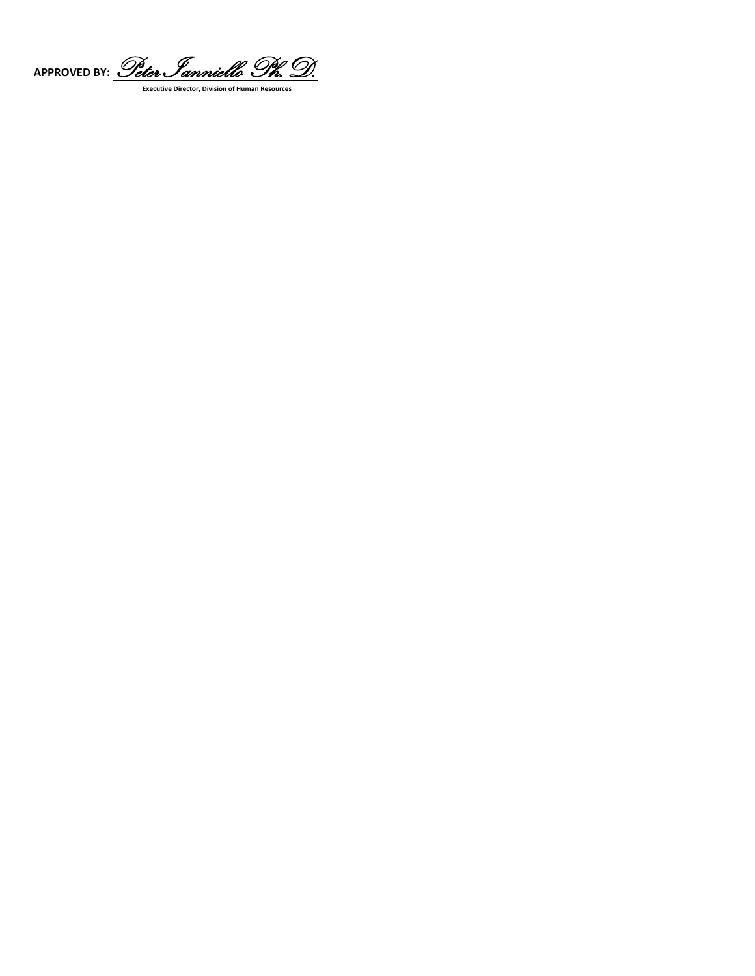<sup>APPROVED BY: *<u>Peter Ianniello Ph. D.</u>*</sup>

 **Executive Director, Division of Human Resources**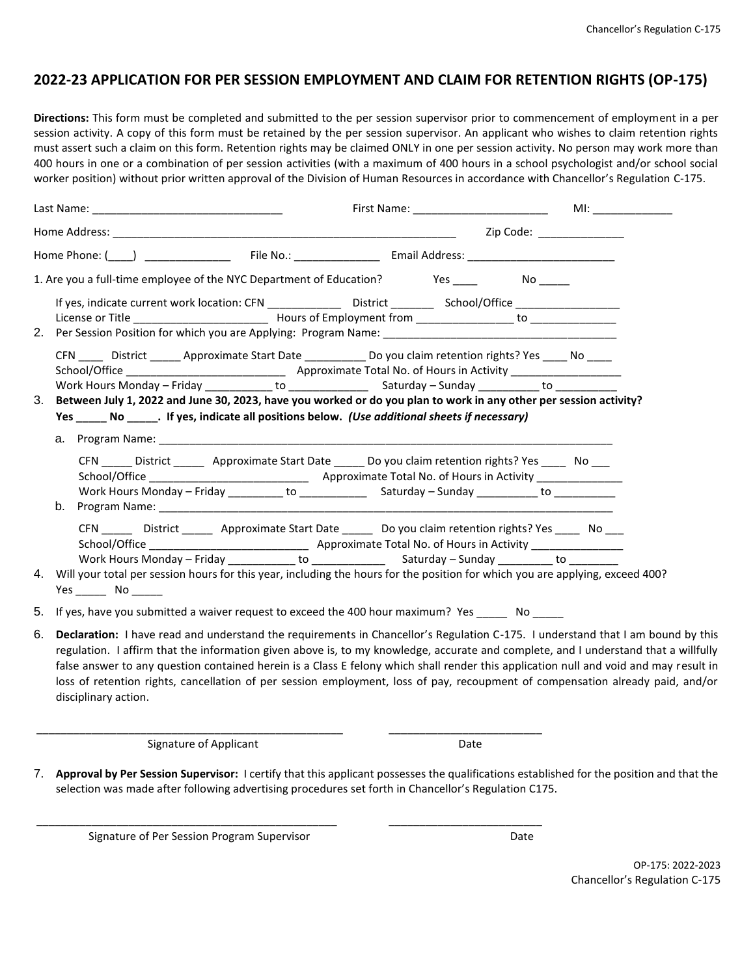#### **2022-23 APPLICATION FOR PER SESSION EMPLOYMENT AND CLAIM FOR RETENTION RIGHTS (OP-175)**

**Directions:** This form must be completed and submitted to the per session supervisor prior to commencement of employment in a per session activity. A copy of this form must be retained by the per session supervisor. An applicant who wishes to claim retention rights must assert such a claim on this form. Retention rights may be claimed ONLY in one per session activity. No person may work more than 400 hours in one or a combination of per session activities (with a maximum of 400 hours in a school psychologist and/or school social worker position) without prior written approval of the Division of Human Resources in accordance with Chancellor's Regulation C-175.

|    | 1. Are you a full-time employee of the NYC Department of Education? The Ses The Mo                                                                                                                                                                                                                                                                                                                                     |  |  |  |  |  |  |
|----|------------------------------------------------------------------------------------------------------------------------------------------------------------------------------------------------------------------------------------------------------------------------------------------------------------------------------------------------------------------------------------------------------------------------|--|--|--|--|--|--|
|    | If yes, indicate current work location: CFN ______________ District _________ School/Office _________________                                                                                                                                                                                                                                                                                                          |  |  |  |  |  |  |
|    |                                                                                                                                                                                                                                                                                                                                                                                                                        |  |  |  |  |  |  |
|    | CFN District Approximate Start Date Dove Up and Microsoft Pieter No District Date Approximate Start Date Dove O                                                                                                                                                                                                                                                                                                        |  |  |  |  |  |  |
|    |                                                                                                                                                                                                                                                                                                                                                                                                                        |  |  |  |  |  |  |
|    | CFN District Approximate Start Date Do you claim retention rights? Yes No                                                                                                                                                                                                                                                                                                                                              |  |  |  |  |  |  |
|    |                                                                                                                                                                                                                                                                                                                                                                                                                        |  |  |  |  |  |  |
|    | b.                                                                                                                                                                                                                                                                                                                                                                                                                     |  |  |  |  |  |  |
|    | CFN ______ District ______ Approximate Start Date _____ Do you claim retention rights? Yes ____ No ___                                                                                                                                                                                                                                                                                                                 |  |  |  |  |  |  |
| 4. | Will your total per session hours for this year, including the hours for the position for which you are applying, exceed 400?                                                                                                                                                                                                                                                                                          |  |  |  |  |  |  |
| 5. | If yes, have you submitted a waiver request to exceed the 400 hour maximum? Yes _______ No ______                                                                                                                                                                                                                                                                                                                      |  |  |  |  |  |  |
| 6. | <b>Declaration:</b> I have read and understand the requirements in Chancellor's Regulation C-175. I understand that I am bound by this<br>regulation. I affirm that the information given above is, to my knowledge, accurate and complete, and I understand that a willfully<br>false answer to any question contained herein is a Class E felony which shall render this application null and void and may result in |  |  |  |  |  |  |

regulation. I affirm that the information given above is, to my knowledge, accurate and complete, and I understand that a willfully false answer to any question contained herein is a Class E felony which shall render this application null and void and may result in loss of retention rights, cancellation of per session employment, loss of pay, recoupment of compensation already paid, and/or disciplinary action.

Signature of Applicant Date Date

\_\_\_\_\_\_\_\_\_\_\_\_\_\_\_\_\_\_\_\_\_\_\_\_\_\_\_\_\_\_\_\_\_\_\_\_\_\_\_\_\_\_\_\_\_\_\_\_\_\_ \_\_\_\_\_\_\_\_\_\_\_\_\_\_\_\_\_\_\_\_\_\_\_\_\_

\_\_\_\_\_\_\_\_\_\_\_\_\_\_\_\_\_\_\_\_\_\_\_\_\_\_\_\_\_\_\_\_\_\_\_\_\_\_\_\_\_\_\_\_\_\_\_\_\_ \_\_\_\_\_\_\_\_\_\_\_\_\_\_\_\_\_\_\_\_\_\_\_\_\_

7. **Approval by Per Session Supervisor:** I certify that this applicant possesses the qualifications established for the position and that the selection was made after following advertising procedures set forth in Chancellor's Regulation C175.

Signature of Per Session Program Supervisor **Date Access 2018** Date

OP-175: 2022-2023 Chancellor's Regulation C-175